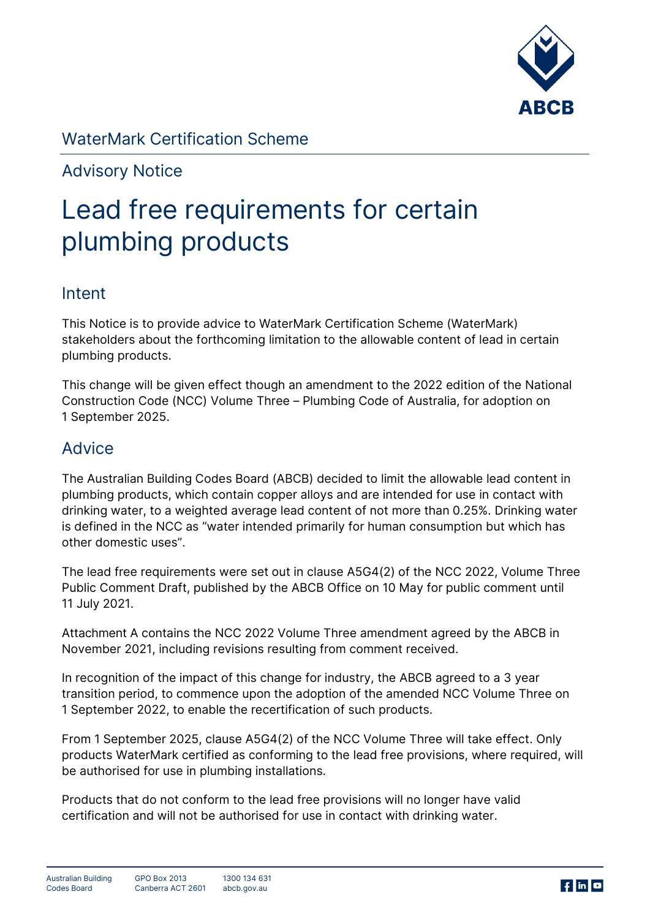

# **WaterMark Certification Scheme**

**Advisory Notice**

# **Lead free requirements for certain plumbing products**

## **Intent**

This Notice is to provide advice to WaterMark Certification Scheme (WaterMark) stakeholders about the forthcoming limitation to the allowable content of lead in certain plumbing products.

This change will be given effect though an amendment to the 2022 edition of the National Construction Code (NCC) Volume Three – Plumbing Code of Australia, for adoption on 1 September 2025.

## **Advice**

The Australian Building Codes Board (ABCB) decided to limit the allowable lead content in plumbing products, which contain copper alloys and are intended for use in contact with drinking water, to a weighted average lead content of not more than 0.25%. Drinking water is defined in the NCC as "water intended primarily for human consumption but which has other domestic uses".

The lead free requirements were set out in clause A5G4(2) of the NCC 2022, Volume Three Public Comment Draft, published by the ABCB Office on 10 May for public comment until 11 July 2021.

**Attachment A** contains the NCC 2022 Volume Three amendment agreed by the ABCB in November 2021, including revisions resulting from comment received.

In recognition of the impact of this change for industry, the ABCB agreed to a 3 year transition period, to commence upon the adoption of the amended NCC Volume Three on 1 September 2022, to enable the recertification of such products.

From 1 September 2025, clause A5G4(2) of the NCC Volume Three will take effect. Only products WaterMark certified as conforming to the lead free provisions, where required, will be authorised for use in plumbing installations.

Products that do not conform to the lead free provisions will no longer have valid certification and will not be authorised for use in contact with drinking water.

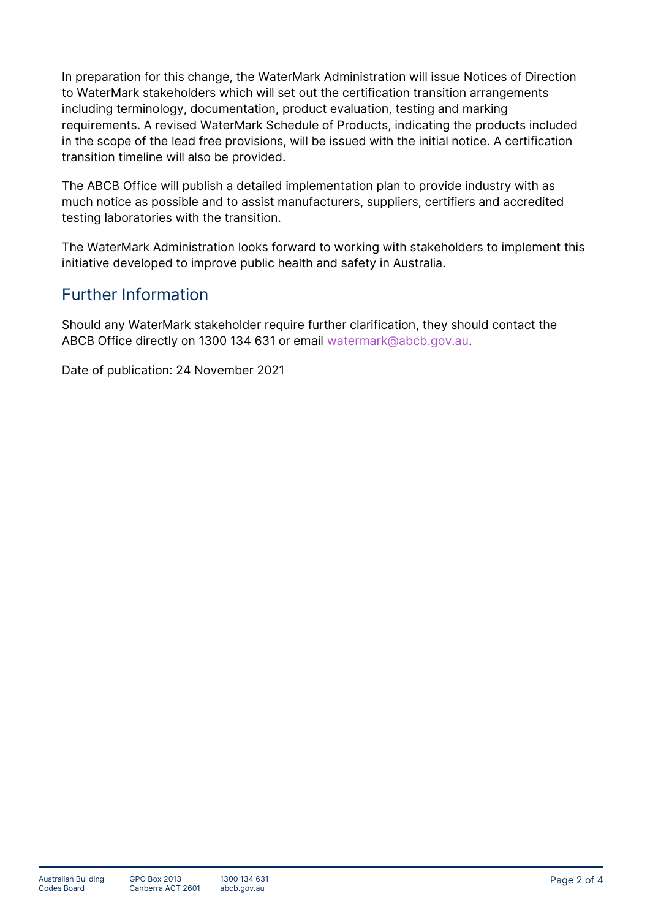In preparation for this change, the WaterMark Administration will issue Notices of Direction to WaterMark stakeholders which will set out the certification transition arrangements including terminology, documentation, product evaluation, testing and marking requirements. A revised WaterMark Schedule of Products, indicating the products included in the scope of the lead free provisions, will be issued with the initial notice. A certification transition timeline will also be provided.

The ABCB Office will publish a detailed implementation plan to provide industry with as much notice as possible and to assist manufacturers, suppliers, certifiers and accredited testing laboratories with the transition.

The WaterMark Administration looks forward to working with stakeholders to implement this initiative developed to improve public health and safety in Australia.

# **Further Information**

Should any WaterMark stakeholder require further clarification, they should contact the ABCB Office directly on 1300 134 631 or email [watermark@abcb.gov.au.](mailto:watermark@abcb.gov.au)

Date of publication: 24 November 2021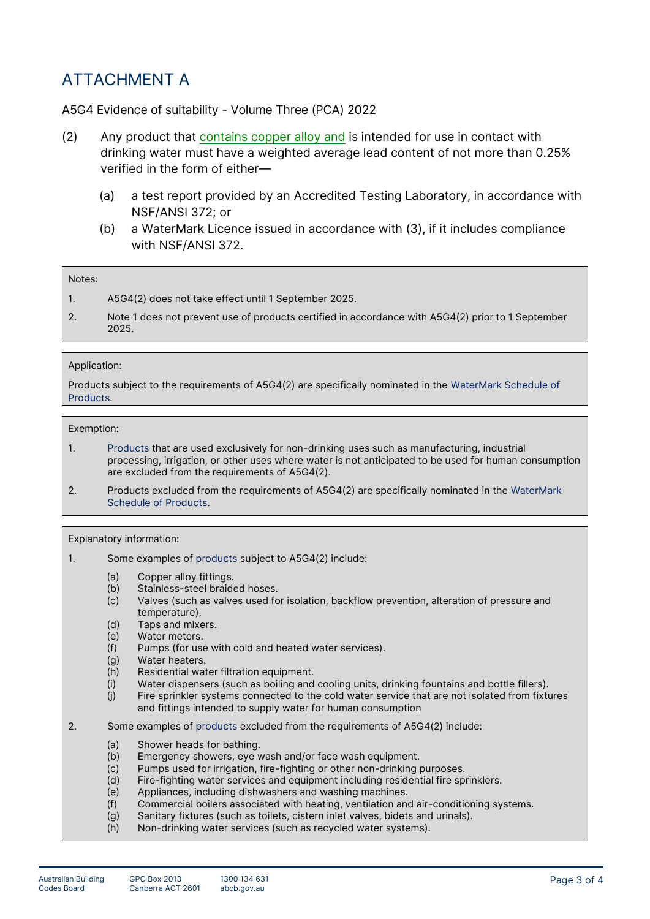# **ATTACHMENT A**

## **A5G4 Evidence of suitability - Volume Three (PCA) 2022**

- (2) Any *product* that contains copper alloy and is intended for use in contact with *drinking water* must have a *weighted average* lead content of not more than 0.25% verified in the form of either—
	- (a) a test report provided by an *Accredited Testing Laboratory*, in accordance with NSF/ANSI 372; or
	- (b) a *WaterMark Licence* issued in accordance with (3), if it includes compliance with NSF/ANSI 372.

## **Notes:**

- 1. A5G4(2) does not take effect until 1 September 2025.
- 2. Note 1 does not prevent use of *products* certified in accordance with A5G4(2) prior to 1 September 2025.

## **Application:**

*Products* subject to the requirements of A5G4(2) are specifically nominated in the *WaterMark Schedule of Products*.

### **Exemption:**

- 1. *Products* that are used exclusively for non-drinking uses such as manufacturing, industrial processing, irrigation, or other uses where water is not anticipated to be used for human consumption are excluded from the requirements of A5G4(2).
- 2. *Products* excluded from the requirements of A5G4(2) are specifically nominated in the *WaterMark Schedule of Products*.

### **Explanatory information:**

- 1. Some examples of *products* subject to A5G4(2) include:
	- (a) Copper alloy fittings.
	- (b) Stainless-steel braided hoses.
	- (c) Valves (such as valves used for isolation, backflow prevention, alteration of pressure and temperature).
	- (d) Taps and mixers.
	- (e) Water meters.
	- (f) Pumps (for use with cold and heated water services).
	- (g) Water heaters.
	- (h) Residential water filtration equipment.
	- (i) Water dispensers (such as boiling and cooling units, drinking fountains and bottle fillers).
	- (j) Fire sprinkler systems connected to the cold water service that are not isolated from fixtures and fittings intended to supply water for human consumption
- 2. Some examples of *products* excluded from the requirements of A5G4(2) include:
	- (a) Shower heads for bathing.
	- (b) Emergency showers, eye wash and/or face wash equipment.
	- (c) Pumps used for irrigation, fire-fighting or other non-drinking purposes.
	- (d) Fire-fighting water services and equipment including residential fire sprinklers.
	- (e) Appliances, including dishwashers and washing machines.
	- (f) Commercial boilers associated with heating, ventilation and air-conditioning systems.
	- (g) Sanitary fixtures (such as toilets, cistern inlet valves, bidets and urinals).
	- (h) *Non-drinking water* services (such as recycled water systems).